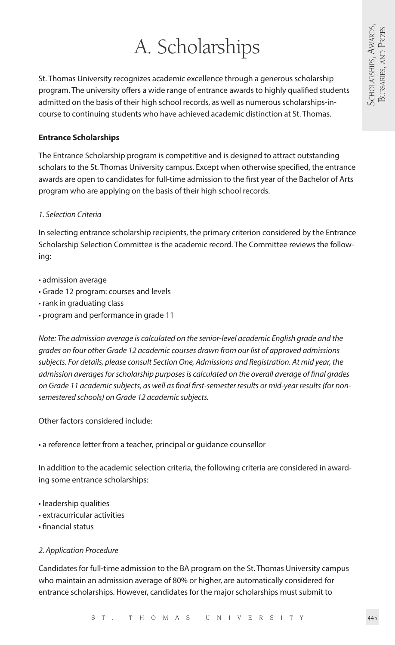# A. Scholarships

St. Thomas University recognizes academic excellence through a generous scholarship program. The university offers a wide range of entrance awards to highly qualified students admitted on the basis of their high school records, as well as numerous scholarships-incourse to continuing students who have achieved academic distinction at St. Thomas.

#### **Entrance Scholarships**

The Entrance Scholarship program is competitive and is designed to attract outstanding scholars to the St. Thomas University campus. Except when otherwise specified, the entrance awards are open to candidates for full-time admission to the first year of the Bachelor of Arts program who are applying on the basis of their high school records.

#### *1. Selection Criteria*

In selecting entrance scholarship recipients, the primary criterion considered by the Entrance Scholarship Selection Committee is the academic record. The Committee reviews the following:

- admission average
- Grade 12 program: courses and levels
- rank in graduating class
- program and performance in grade 11

*Note: The admission average is calculated on the senior-level academic English grade and the grades on four other Grade 12 academic courses drawn from our list of approved admissions subjects. For details, please consult Section One, Admissions and Registration. At mid year, the admission averages for scholarship purposes is calculated on the overall average of final grades on Grade 11 academic subjects, as well as final first-semester results or mid-year results (for nonsemestered schools) on Grade 12 academic subjects.*

Other factors considered include:

• a reference letter from a teacher, principal or guidance counsellor

In addition to the academic selection criteria, the following criteria are considered in awarding some entrance scholarships:

- leadership qualities
- extracurricular activities
- financial status

#### *2. Application Procedure*

Candidates for full-time admission to the BA program on the St. Thomas University campus who maintain an admission average of 80% or higher, are automatically considered for entrance scholarships. However, candidates for the major scholarships must submit to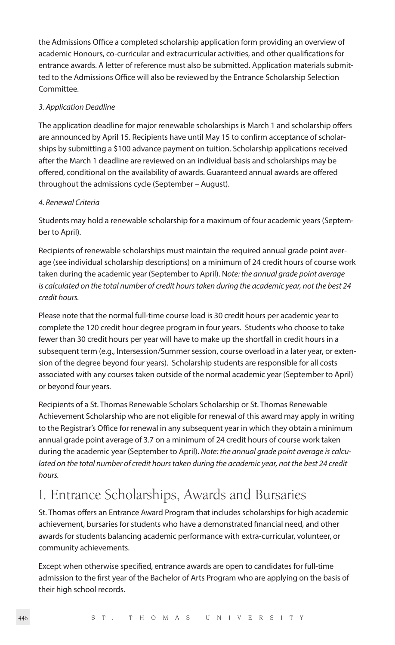the Admissions Office a completed scholarship application form providing an overview of academic Honours, co-curricular and extracurricular activities, and other qualifications for entrance awards. A letter of reference must also be submitted. Application materials submitted to the Admissions Office will also be reviewed by the Entrance Scholarship Selection Committee.

#### *3. Application Deadline*

The application deadline for major renewable scholarships is March 1 and scholarship offers are announced by April 15. Recipients have until May 15 to confirm acceptance of scholarships by submitting a \$100 advance payment on tuition. Scholarship applications received after the March 1 deadline are reviewed on an individual basis and scholarships may be offered, conditional on the availability of awards. Guaranteed annual awards are offered throughout the admissions cycle (September – August).

#### *4. Renewal Criteria*

Students may hold a renewable scholarship for a maximum of four academic years (September to April).

Recipients of renewable scholarships must maintain the required annual grade point average (see individual scholarship descriptions) on a minimum of 24 credit hours of course work taken during the academic year (September to April). N*ote: the annual grade point average is calculated on the total number of credit hours taken during the academic year, not the best 24 credit hours.*

Please note that the normal full-time course load is 30 credit hours per academic year to complete the 120 credit hour degree program in four years. Students who choose to take fewer than 30 credit hours per year will have to make up the shortfall in credit hours in a subsequent term (e.g., Intersession/Summer session, course overload in a later year, or extension of the degree beyond four years). Scholarship students are responsible for all costs associated with any courses taken outside of the normal academic year (September to April) or beyond four years.

Recipients of a St. Thomas Renewable Scholars Scholarship or St. Thomas Renewable Achievement Scholarship who are not eligible for renewal of this award may apply in writing to the Registrar's Office for renewal in any subsequent year in which they obtain a minimum annual grade point average of 3.7 on a minimum of 24 credit hours of course work taken during the academic year (September to April). *Note: the annual grade point average is calculated on the total number of credit hours taken during the academic year, not the best 24 credit hours.*

## I. Entrance Scholarships, Awards and Bursaries

St. Thomas offers an Entrance Award Program that includes scholarships for high academic achievement, bursaries for students who have a demonstrated financial need, and other awards for students balancing academic performance with extra-curricular, volunteer, or community achievements.

Except when otherwise specified, entrance awards are open to candidates for full-time admission to the first year of the Bachelor of Arts Program who are applying on the basis of their high school records.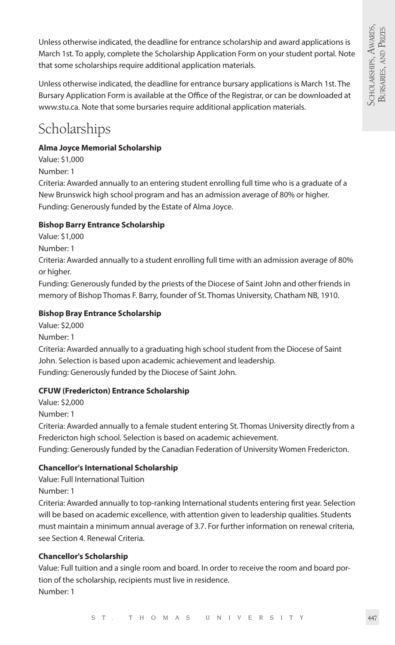Unless otherwise indicated, the deadline for entrance scholarship and award applications is March 1st. To apply, complete the Scholarship Application Form on your student portal. Note that some scholarships require additional application materials.

Unless otherwise indicated, the deadline for entrance bursary applications is March 1st. The Bursary Application Form is available at the Office of the Registrar, or can be downloaded at www.stu.ca. Note that some bursaries require additional application materials.

## Scholarships

#### **Alma Joyce Memorial Scholarship**

Value: \$1,000

Number: 1

Criteria: Awarded annually to an entering student enrolling full time who is a graduate of a New Brunswick high school program and has an admission average of 80% or higher. Funding: Generously funded by the Estate of Alma Joyce.

#### **Bishop Barry Entrance Scholarship**

Value: \$1,000

Number: 1

Criteria: Awarded annually to a student enrolling full time with an admission average of 80% or higher.

Funding: Generously funded by the priests of the Diocese of Saint John and other friends in memory of Bishop Thomas F. Barry, founder of St. Thomas University, Chatham NB, 1910.

#### **Bishop Bray Entrance Scholarship**

Value: \$2,000 Number: 1 Criteria: Awarded annually to a graduating high school student from the Diocese of Saint John. Selection is based upon academic achievement and leadership. Funding: Generously funded by the Diocese of Saint John.

#### **CFUW (Fredericton) Entrance Scholarship**

Value: \$2,000

Number: 1

Criteria: Awarded annually to a female student entering St. Thomas University directly from a Fredericton high school. Selection is based on academic achievement.

Funding: Generously funded by the Canadian Federation of University Women Fredericton.

#### **Chancellor's International Scholarship**

Value: Full International Tuition

Number: 1

Criteria: Awarded annually to top-ranking International students entering first year. Selection will be based on academic excellence, with attention given to leadership qualities. Students must maintain a minimum annual average of 3.7. For further information on renewal criteria, see Section 4. Renewal Criteria.

#### **Chancellor's Scholarship**

Value: Full tuition and a single room and board. In order to receive the room and board portion of the scholarship, recipients must live in residence. Number: 1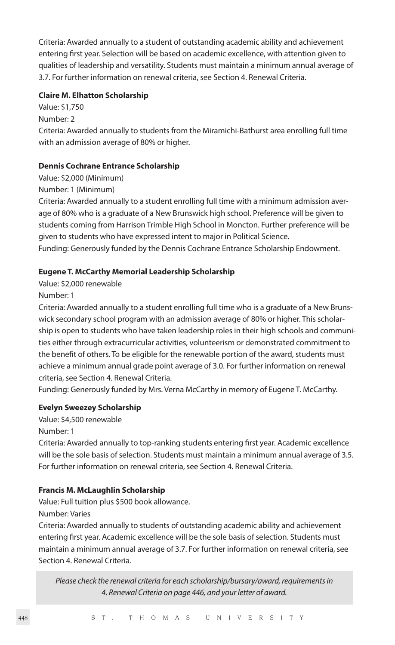Criteria: Awarded annually to a student of outstanding academic ability and achievement entering first year. Selection will be based on academic excellence, with attention given to qualities of leadership and versatility. Students must maintain a minimum annual average of 3.7. For further information on renewal criteria, see Section 4. Renewal Criteria.

#### **Claire M. Elhatton Scholarship**

Value: \$1,750

Number: 2

Criteria: Awarded annually to students from the Miramichi-Bathurst area enrolling full time with an admission average of 80% or higher.

#### **Dennis Cochrane Entrance Scholarship**

Value: \$2,000 (Minimum)

Number: 1 (Minimum)

Criteria: Awarded annually to a student enrolling full time with a minimum admission average of 80% who is a graduate of a New Brunswick high school. Preference will be given to students coming from Harrison Trimble High School in Moncton. Further preference will be given to students who have expressed intent to major in Political Science.

Funding: Generously funded by the Dennis Cochrane Entrance Scholarship Endowment.

#### **Eugene T. McCarthy Memorial Leadership Scholarship**

Value: \$2,000 renewable

Number: 1

Criteria: Awarded annually to a student enrolling full time who is a graduate of a New Brunswick secondary school program with an admission average of 80% or higher. This scholarship is open to students who have taken leadership roles in their high schools and communities either through extracurricular activities, volunteerism or demonstrated commitment to the benefit of others. To be eligible for the renewable portion of the award, students must achieve a minimum annual grade point average of 3.0. For further information on renewal criteria, see Section 4. Renewal Criteria.

Funding: Generously funded by Mrs. Verna McCarthy in memory of Eugene T. McCarthy.

#### **Evelyn Sweezey Scholarship**

Value: \$4,500 renewable

Number: 1

Criteria: Awarded annually to top-ranking students entering first year. Academic excellence will be the sole basis of selection. Students must maintain a minimum annual average of 3.5. For further information on renewal criteria, see Section 4. Renewal Criteria.

#### **Francis M. McLaughlin Scholarship**

Value: Full tuition plus \$500 book allowance.

Number: Varies

Criteria: Awarded annually to students of outstanding academic ability and achievement entering first year. Academic excellence will be the sole basis of selection. Students must maintain a minimum annual average of 3.7. For further information on renewal criteria, see Section 4. Renewal Criteria.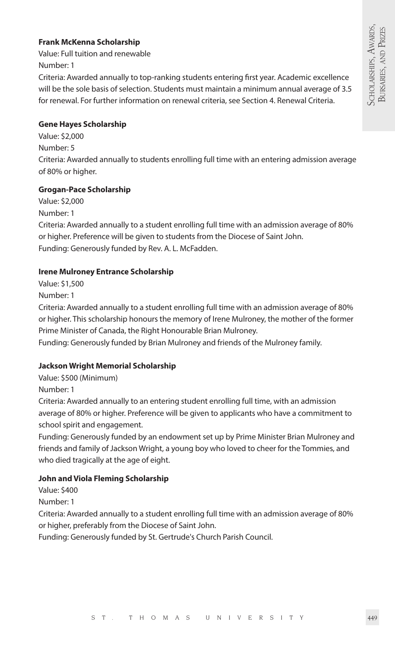#### **Frank McKenna Scholarship**

Value: Full tuition and renewable Number: 1

Criteria: Awarded annually to top-ranking students entering first year. Academic excellence will be the sole basis of selection. Students must maintain a minimum annual average of 3.5 for renewal. For further information on renewal criteria, see Section 4. Renewal Criteria.

#### **Gene Hayes Scholarship**

Value: \$2,000 Number: 5 Criteria: Awarded annually to students enrolling full time with an entering admission average of 80% or higher.

#### **Grogan-Pace Scholarship**

Value: \$2,000 Number: 1

Criteria: Awarded annually to a student enrolling full time with an admission average of 80% or higher. Preference will be given to students from the Diocese of Saint John. Funding: Generously funded by Rev. A. L. McFadden.

#### **Irene Mulroney Entrance Scholarship**

Value: \$1,500

Number: 1

Criteria: Awarded annually to a student enrolling full time with an admission average of 80% or higher. This scholarship honours the memory of Irene Mulroney, the mother of the former Prime Minister of Canada, the Right Honourable Brian Mulroney.

Funding: Generously funded by Brian Mulroney and friends of the Mulroney family.

#### **Jackson Wright Memorial Scholarship**

Value: \$500 (Minimum)

Number: 1

Criteria: Awarded annually to an entering student enrolling full time, with an admission average of 80% or higher. Preference will be given to applicants who have a commitment to school spirit and engagement.

Funding: Generously funded by an endowment set up by Prime Minister Brian Mulroney and friends and family of Jackson Wright, a young boy who loved to cheer for the Tommies, and who died tragically at the age of eight.

#### **John and Viola Fleming Scholarship**

Value: \$400

Number: 1

Criteria: Awarded annually to a student enrolling full time with an admission average of 80% or higher, preferably from the Diocese of Saint John.

Funding: Generously funded by St. Gertrude's Church Parish Council.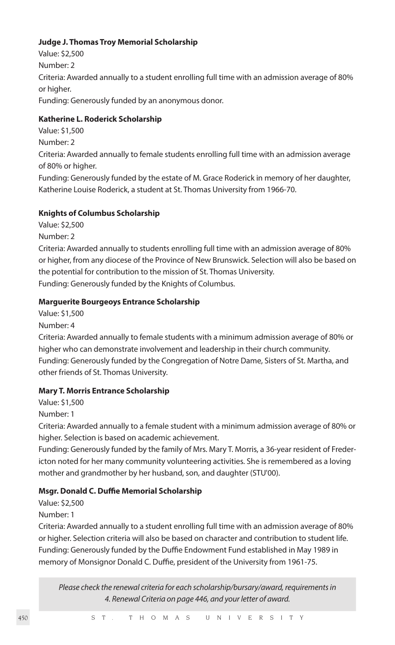#### **Judge J. Thomas Troy Memorial Scholarship**

Value: \$2,500 Number: 2 Criteria: Awarded annually to a student enrolling full time with an admission average of 80% or higher. Funding: Generously funded by an anonymous donor.

#### **Katherine L. Roderick Scholarship**

Value: \$1,500

Number: 2

Criteria: Awarded annually to female students enrolling full time with an admission average of 80% or higher.

Funding: Generously funded by the estate of M. Grace Roderick in memory of her daughter, Katherine Louise Roderick, a student at St. Thomas University from 1966-70.

#### **Knights of Columbus Scholarship**

Value: \$2,500

Number: 2

Criteria: Awarded annually to students enrolling full time with an admission average of 80% or higher, from any diocese of the Province of New Brunswick. Selection will also be based on the potential for contribution to the mission of St. Thomas University. Funding: Generously funded by the Knights of Columbus.

#### **Marguerite Bourgeoys Entrance Scholarship**

Value: \$1,500

Number: 4

Criteria: Awarded annually to female students with a minimum admission average of 80% or higher who can demonstrate involvement and leadership in their church community. Funding: Generously funded by the Congregation of Notre Dame, Sisters of St. Martha, and other friends of St. Thomas University.

#### **Mary T. Morris Entrance Scholarship**

Value: \$1,500

Number: 1

Criteria: Awarded annually to a female student with a minimum admission average of 80% or higher. Selection is based on academic achievement.

Funding: Generously funded by the family of Mrs. Mary T. Morris, a 36-year resident of Fredericton noted for her many community volunteering activities. She is remembered as a loving mother and grandmother by her husband, son, and daughter (STU'00).

#### **Msgr. Donald C. Duffie Memorial Scholarship**

Value: \$2,500

Number: 1

Criteria: Awarded annually to a student enrolling full time with an admission average of 80% or higher. Selection criteria will also be based on character and contribution to student life. Funding: Generously funded by the Duffie Endowment Fund established in May 1989 in memory of Monsignor Donald C. Duffie, president of the University from 1961-75.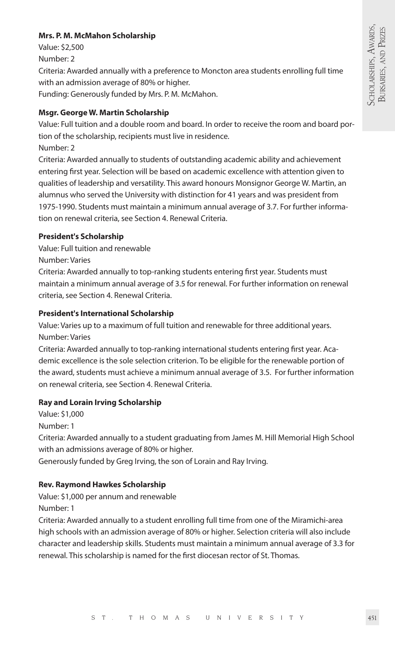#### **Mrs. P. M. McMahon Scholarship**

Value: \$2,500

Number: 2

Criteria: Awarded annually with a preference to Moncton area students enrolling full time with an admission average of 80% or higher.

Funding: Generously funded by Mrs. P. M. McMahon.

#### **Msgr. George W. Martin Scholarship**

Value: Full tuition and a double room and board. In order to receive the room and board portion of the scholarship, recipients must live in residence.

Number: 2

Criteria: Awarded annually to students of outstanding academic ability and achievement entering first year. Selection will be based on academic excellence with attention given to qualities of leadership and versatility. This award honours Monsignor George W. Martin, an alumnus who served the University with distinction for 41 years and was president from 1975-1990. Students must maintain a minimum annual average of 3.7. For further information on renewal criteria, see Section 4. Renewal Criteria.

#### **President's Scholarship**

Value: Full tuition and renewable

Number: Varies

Criteria: Awarded annually to top-ranking students entering first year. Students must maintain a minimum annual average of 3.5 for renewal. For further information on renewal criteria, see Section 4. Renewal Criteria.

#### **President's International Scholarship**

Value: Varies up to a maximum of full tuition and renewable for three additional years. Number: Varies

Criteria: Awarded annually to top-ranking international students entering first year. Academic excellence is the sole selection criterion. To be eligible for the renewable portion of the award, students must achieve a minimum annual average of 3.5. For further information on renewal criteria, see Section 4. Renewal Criteria.

#### **Ray and Lorain Irving Scholarship**

Value: \$1,000 Number: 1

Criteria: Awarded annually to a student graduating from James M. Hill Memorial High School with an admissions average of 80% or higher.

Generously funded by Greg Irving, the son of Lorain and Ray Irving.

#### **Rev. Raymond Hawkes Scholarship**

Value: \$1,000 per annum and renewable Number: 1

Criteria: Awarded annually to a student enrolling full time from one of the Miramichi-area high schools with an admission average of 80% or higher. Selection criteria will also include character and leadership skills. Students must maintain a minimum annual average of 3.3 for renewal. This scholarship is named for the first diocesan rector of St. Thomas.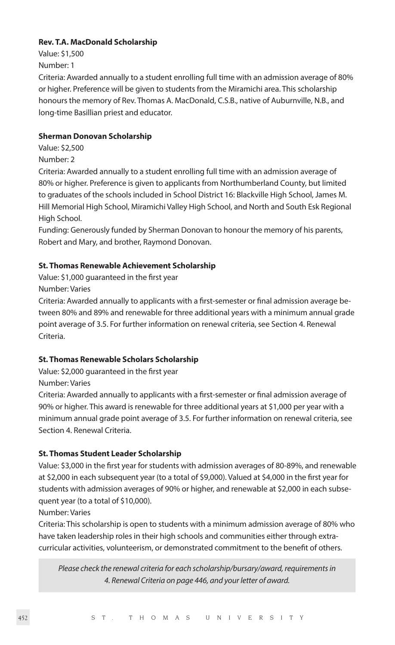#### **Rev. T.A. MacDonald Scholarship**

Value: \$1,500 Number: 1

Criteria: Awarded annually to a student enrolling full time with an admission average of 80% or higher. Preference will be given to students from the Miramichi area. This scholarship honours the memory of Rev. Thomas A. MacDonald, C.S.B., native of Auburnville, N.B., and long-time Basillian priest and educator.

#### **Sherman Donovan Scholarship**

Value: \$2,500 Number: 2

Criteria: Awarded annually to a student enrolling full time with an admission average of 80% or higher. Preference is given to applicants from Northumberland County, but limited to graduates of the schools included in School District 16: Blackville High School, James M. Hill Memorial High School, Miramichi Valley High School, and North and South Esk Regional High School.

Funding: Generously funded by Sherman Donovan to honour the memory of his parents, Robert and Mary, and brother, Raymond Donovan.

#### **St. Thomas Renewable Achievement Scholarship**

Value: \$1,000 guaranteed in the first year Number: Varies

Criteria: Awarded annually to applicants with a first-semester or final admission average between 80% and 89% and renewable for three additional years with a minimum annual grade point average of 3.5. For further information on renewal criteria, see Section 4. Renewal Criteria.

#### **St. Thomas Renewable Scholars Scholarship**

Value: \$2,000 guaranteed in the first year

Number: Varies

Criteria: Awarded annually to applicants with a first-semester or final admission average of 90% or higher. This award is renewable for three additional years at \$1,000 per year with a minimum annual grade point average of 3.5. For further information on renewal criteria, see Section 4. Renewal Criteria.

#### **St. Thomas Student Leader Scholarship**

Value: \$3,000 in the first year for students with admission averages of 80-89%, and renewable at \$2,000 in each subsequent year (to a total of \$9,000). Valued at \$4,000 in the first year for students with admission averages of 90% or higher, and renewable at \$2,000 in each subsequent year (to a total of \$10,000).

Number: Varies

Criteria: This scholarship is open to students with a minimum admission average of 80% who have taken leadership roles in their high schools and communities either through extracurricular activities, volunteerism, or demonstrated commitment to the benefit of others.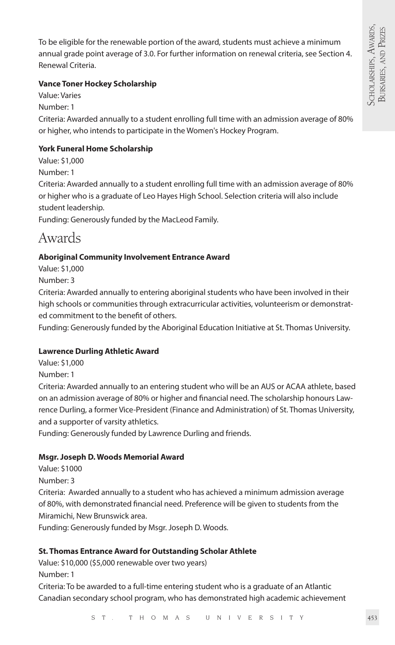To be eligible for the renewable portion of the award, students must achieve a minimum annual grade point average of 3.0. For further information on renewal criteria, see Section 4. Renewal Criteria.

#### **Vance Toner Hockey Scholarship**

Value: Varies Number: 1 Criteria: Awarded annually to a student enrolling full time with an admission average of 80% or higher, who intends to participate in the Women's Hockey Program.

#### **York Funeral Home Scholarship**

Value: \$1,000 Number: 1 Criteria: Awarded annually to a student enrolling full time with an admission average of 80% or higher who is a graduate of Leo Hayes High School. Selection criteria will also include student leadership.

Funding: Generously funded by the MacLeod Family.

## Awards

#### **Aboriginal Community Involvement Entrance Award**

Value: \$1,000

Number: 3

Criteria: Awarded annually to entering aboriginal students who have been involved in their high schools or communities through extracurricular activities, volunteerism or demonstrated commitment to the benefit of others.

Funding: Generously funded by the Aboriginal Education Initiative at St. Thomas University.

#### **Lawrence Durling Athletic Award**

Value: \$1,000

Number: 1

Criteria: Awarded annually to an entering student who will be an AUS or ACAA athlete, based on an admission average of 80% or higher and financial need. The scholarship honours Lawrence Durling, a former Vice-President (Finance and Administration) of St. Thomas University, and a supporter of varsity athletics.

Funding: Generously funded by Lawrence Durling and friends.

#### **Msgr. Joseph D. Woods Memorial Award**

Value: \$1000

Number: 3

Criteria: Awarded annually to a student who has achieved a minimum admission average of 80%, with demonstrated financial need. Preference will be given to students from the Miramichi, New Brunswick area.

Funding: Generously funded by Msgr. Joseph D. Woods.

#### **St. Thomas Entrance Award for Outstanding Scholar Athlete**

Value: \$10,000 (\$5,000 renewable over two years)

Number: 1

Criteria: To be awarded to a full-time entering student who is a graduate of an Atlantic Canadian secondary school program, who has demonstrated high academic achievement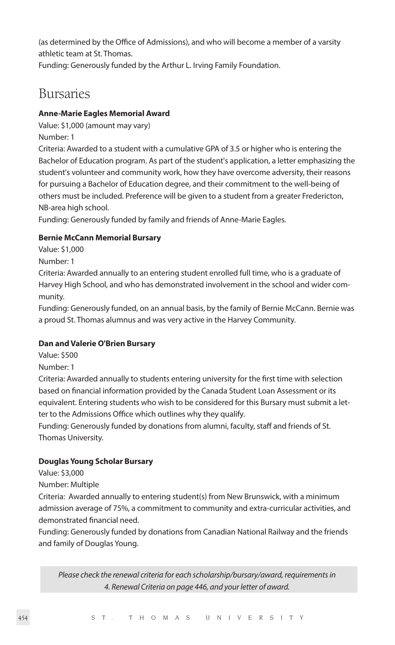(as determined by the Office of Admissions), and who will become a member of a varsity athletic team at St. Thomas.

Funding: Generously funded by the Arthur L. Irving Family Foundation.

### Bursaries

#### **Anne-Marie Eagles Memorial Award**

Value: \$1,000 (amount may vary) Number: 1

Criteria: Awarded to a student with a cumulative GPA of 3.5 or higher who is entering the Bachelor of Education program. As part of the student's application, a letter emphasizing the student's volunteer and community work, how they have overcome adversity, their reasons for pursuing a Bachelor of Education degree, and their commitment to the well-being of others must be included. Preference will be given to a student from a greater Fredericton, NB-area high school.

Funding: Generously funded by family and friends of Anne-Marie Eagles.

#### **Bernie McCann Memorial Bursary**

Value: \$1,000

Number: 1

Criteria: Awarded annually to an entering student enrolled full time, who is a graduate of Harvey High School, and who has demonstrated involvement in the school and wider community.

Funding: Generously funded, on an annual basis, by the family of Bernie McCann. Bernie was a proud St. Thomas alumnus and was very active in the Harvey Community.

#### **Dan and Valerie O'Brien Bursary**

Value: \$500

Number: 1

Criteria: Awarded annually to students entering university for the first time with selection based on financial information provided by the Canada Student Loan Assessment or its equivalent. Entering students who wish to be considered for this Bursary must submit a letter to the Admissions Office which outlines why they qualify.

Funding: Generously funded by donations from alumni, faculty, staff and friends of St. Thomas University.

#### **Douglas Young Scholar Bursary**

Value: \$3,000

Number: Multiple

Criteria: Awarded annually to entering student(s) from New Brunswick, with a minimum admission average of 75%, a commitment to community and extra-curricular activities, and demonstrated financial need.

Funding: Generously funded by donations from Canadian National Railway and the friends and family of Douglas Young.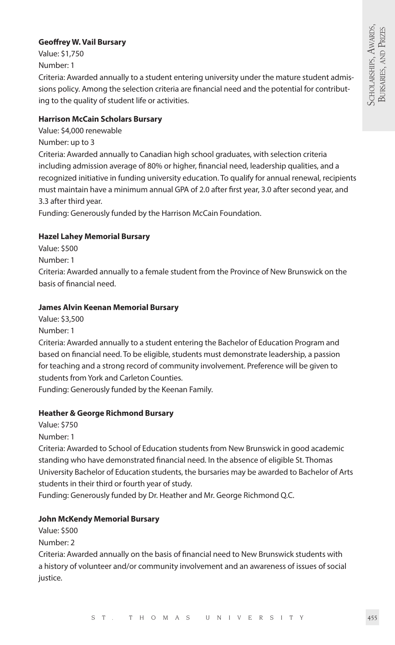#### **Geoffrey W. Vail Bursary**

Value: \$1,750 Number: 1

Criteria: Awarded annually to a student entering university under the mature student admissions policy. Among the selection criteria are financial need and the potential for contributing to the quality of student life or activities.

#### **Harrison McCain Scholars Bursary**

Value: \$4,000 renewable

Number: up to 3

Criteria: Awarded annually to Canadian high school graduates, with selection criteria including admission average of 80% or higher, financial need, leadership qualities, and a recognized initiative in funding university education. To qualify for annual renewal, recipients must maintain have a minimum annual GPA of 2.0 after first year, 3.0 after second year, and 3.3 after third year.

Funding: Generously funded by the Harrison McCain Foundation.

#### **Hazel Lahey Memorial Bursary**

Value: \$500

Number: 1

Criteria: Awarded annually to a female student from the Province of New Brunswick on the basis of financial need.

#### **James Alvin Keenan Memorial Bursary**

Value: \$3,500 Number: 1

Criteria: Awarded annually to a student entering the Bachelor of Education Program and based on financial need. To be eligible, students must demonstrate leadership, a passion for teaching and a strong record of community involvement. Preference will be given to students from York and Carleton Counties.

Funding: Generously funded by the Keenan Family.

#### **Heather & George Richmond Bursary**

Value: \$750

Number: 1

Criteria: Awarded to School of Education students from New Brunswick in good academic standing who have demonstrated financial need. In the absence of eligible St. Thomas University Bachelor of Education students, the bursaries may be awarded to Bachelor of Arts students in their third or fourth year of study.

Funding: Generously funded by Dr. Heather and Mr. George Richmond Q.C.

#### **John McKendy Memorial Bursary**

Value: \$500

Number: 2 Criteria: Awarded annually on the basis of financial need to New Brunswick students with a history of volunteer and/or community involvement and an awareness of issues of social justice.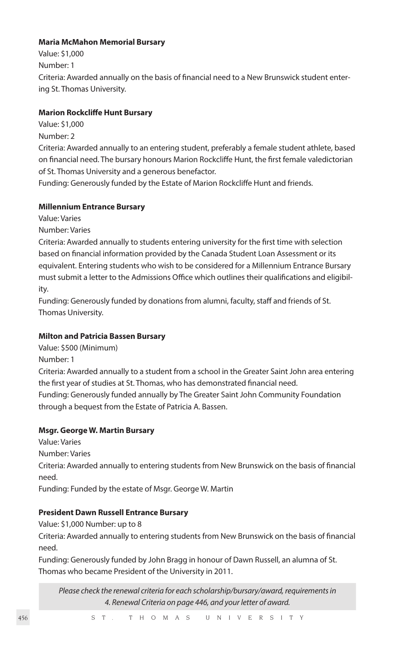#### **Maria McMahon Memorial Bursary**

Value: \$1,000 Number: 1 Criteria: Awarded annually on the basis of financial need to a New Brunswick student entering St. Thomas University.

#### **Marion Rockcliffe Hunt Bursary**

- Value: \$1,000
- Number: 2

Criteria: Awarded annually to an entering student, preferably a female student athlete, based on financial need. The bursary honours Marion Rockcliffe Hunt, the first female valedictorian of St. Thomas University and a generous benefactor.

Funding: Generously funded by the Estate of Marion Rockcliffe Hunt and friends.

#### **Millennium Entrance Bursary**

Value: Varies

Number: Varies

Criteria: Awarded annually to students entering university for the first time with selection based on financial information provided by the Canada Student Loan Assessment or its equivalent. Entering students who wish to be considered for a Millennium Entrance Bursary must submit a letter to the Admissions Office which outlines their qualifications and eligibility.

Funding: Generously funded by donations from alumni, faculty, staff and friends of St. Thomas University.

#### **Milton and Patricia Bassen Bursary**

Value: \$500 (Minimum)

Number: 1

Criteria: Awarded annually to a student from a school in the Greater Saint John area entering the first year of studies at St. Thomas, who has demonstrated financial need.

Funding: Generously funded annually by The Greater Saint John Community Foundation through a bequest from the Estate of Patricia A. Bassen.

#### **Msgr. George W. Martin Bursary**

Value: Varies

Number: Varies

Criteria: Awarded annually to entering students from New Brunswick on the basis of financial need.

Funding: Funded by the estate of Msgr. George W. Martin

#### **President Dawn Russell Entrance Bursary**

Value: \$1,000 Number: up to 8

Criteria: Awarded annually to entering students from New Brunswick on the basis of financial need.

Funding: Generously funded by John Bragg in honour of Dawn Russell, an alumna of St. Thomas who became President of the University in 2011.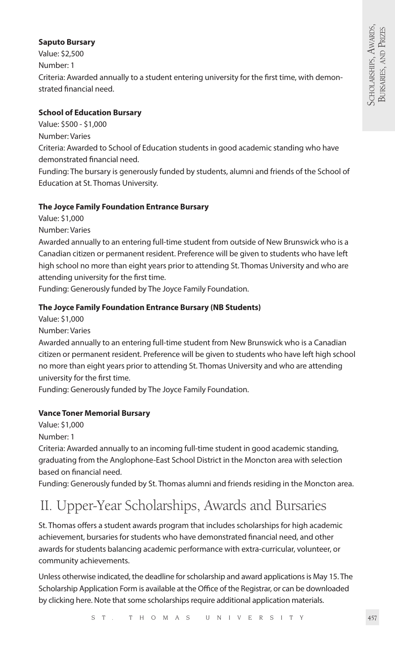#### **Saputo Bursary**

Value: \$2,500 Number: 1 Criteria: Awarded annually to a student entering university for the first time, with demonstrated financial need.

#### **School of Education Bursary**

Value: \$500 - \$1,000

Number: Varies

Criteria: Awarded to School of Education students in good academic standing who have demonstrated financial need.

Funding: The bursary is generously funded by students, alumni and friends of the School of Education at St. Thomas University.

#### **The Joyce Family Foundation Entrance Bursary**

Value: \$1,000

Number: Varies

Awarded annually to an entering full-time student from outside of New Brunswick who is a Canadian citizen or permanent resident. Preference will be given to students who have left high school no more than eight years prior to attending St. Thomas University and who are attending university for the first time.

Funding: Generously funded by The Joyce Family Foundation.

#### **The Joyce Family Foundation Entrance Bursary (NB Students)**

Value: \$1,000

Number: Varies

Awarded annually to an entering full-time student from New Brunswick who is a Canadian citizen or permanent resident. Preference will be given to students who have left high school no more than eight years prior to attending St. Thomas University and who are attending university for the first time.

Funding: Generously funded by The Joyce Family Foundation.

#### **Vance Toner Memorial Bursary**

Value: \$1,000

Number: 1

Criteria: Awarded annually to an incoming full-time student in good academic standing, graduating from the Anglophone-East School District in the Moncton area with selection based on financial need.

Funding: Generously funded by St. Thomas alumni and friends residing in the Moncton area.

## II. Upper-Year Scholarships, Awards and Bursaries

St. Thomas offers a student awards program that includes scholarships for high academic achievement, bursaries for students who have demonstrated financial need, and other awards for students balancing academic performance with extra-curricular, volunteer, or community achievements.

Unless otherwise indicated, the deadline for scholarship and award applications is May 15. The Scholarship Application Form is available at the Office of the Registrar, or can be downloaded by clicking here. Note that some scholarships require additional application materials.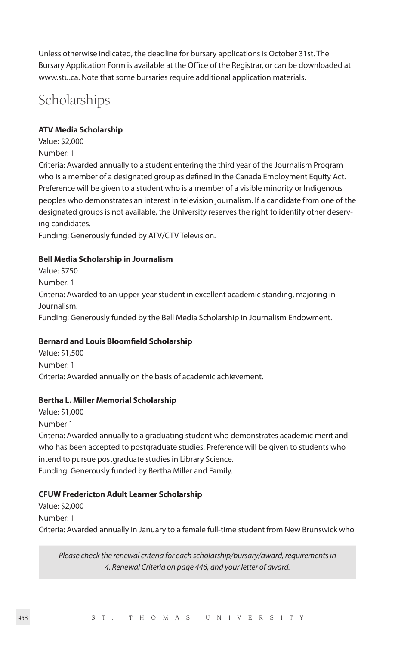Unless otherwise indicated, the deadline for bursary applications is October 31st. The Bursary Application Form is available at the Office of the Registrar, or can be downloaded at www.stu.ca. Note that some bursaries require additional application materials.

## **Scholarships**

#### **ATV Media Scholarship**

Value: \$2,000 Number: 1

Criteria: Awarded annually to a student entering the third year of the Journalism Program who is a member of a designated group as defined in the Canada Employment Equity Act. Preference will be given to a student who is a member of a visible minority or Indigenous peoples who demonstrates an interest in television journalism. If a candidate from one of the designated groups is not available, the University reserves the right to identify other deserving candidates.

Funding: Generously funded by ATV/CTV Television.

#### **Bell Media Scholarship in Journalism**

Value: \$750 Number: 1 Criteria: Awarded to an upper-year student in excellent academic standing, majoring in Journalism. Funding: Generously funded by the Bell Media Scholarship in Journalism Endowment.

#### **Bernard and Louis Bloomfield Scholarship**

Value: \$1,500 Number: 1 Criteria: Awarded annually on the basis of academic achievement.

#### **Bertha L. Miller Memorial Scholarship**

Value: \$1,000 Number 1 Criteria: Awarded annually to a graduating student who demonstrates academic merit and who has been accepted to postgraduate studies. Preference will be given to students who intend to pursue postgraduate studies in Library Science. Funding: Generously funded by Bertha Miller and Family.

#### **CFUW Fredericton Adult Learner Scholarship**

Value: \$2,000 Number: 1 Criteria: Awarded annually in January to a female full-time student from New Brunswick who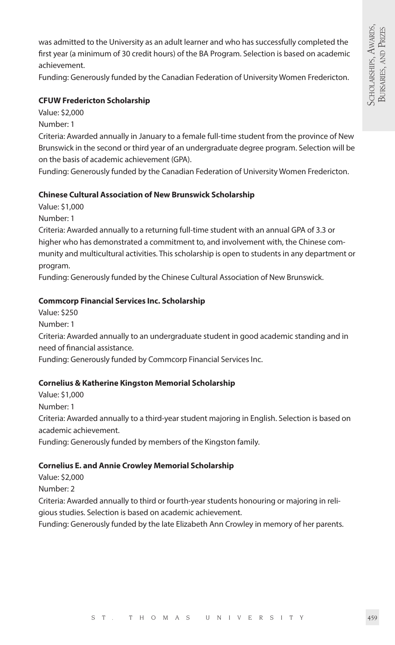was admitted to the University as an adult learner and who has successfully completed the first year (a minimum of 30 credit hours) of the BA Program. Selection is based on academic achievement.

Funding: Generously funded by the Canadian Federation of University Women Fredericton.

#### **CFUW Fredericton Scholarship**

Value: \$2,000

Number: 1

Criteria: Awarded annually in January to a female full-time student from the province of New Brunswick in the second or third year of an undergraduate degree program. Selection will be on the basis of academic achievement (GPA).

Funding: Generously funded by the Canadian Federation of University Women Fredericton.

#### **Chinese Cultural Association of New Brunswick Scholarship**

Value: \$1,000

Number: 1

Criteria: Awarded annually to a returning full-time student with an annual GPA of 3.3 or higher who has demonstrated a commitment to, and involvement with, the Chinese community and multicultural activities. This scholarship is open to students in any department or program.

Funding: Generously funded by the Chinese Cultural Association of New Brunswick.

#### **Commcorp Financial Services Inc. Scholarship**

Value: \$250 Number: 1 Criteria: Awarded annually to an undergraduate student in good academic standing and in need of financial assistance. Funding: Generously funded by Commcorp Financial Services Inc.

#### **Cornelius & Katherine Kingston Memorial Scholarship**

Value: \$1,000 Number: 1 Criteria: Awarded annually to a third-year student majoring in English. Selection is based on academic achievement. Funding: Generously funded by members of the Kingston family.

#### **Cornelius E. and Annie Crowley Memorial Scholarship**

Value: \$2,000 Number: 2

Criteria: Awarded annually to third or fourth-year students honouring or majoring in religious studies. Selection is based on academic achievement.

Funding: Generously funded by the late Elizabeth Ann Crowley in memory of her parents.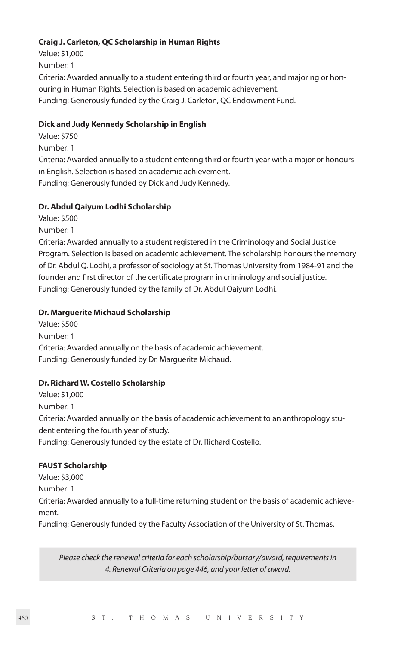#### **Craig J. Carleton, QC Scholarship in Human Rights**

Value: \$1,000 Number: 1 Criteria: Awarded annually to a student entering third or fourth year, and majoring or honouring in Human Rights. Selection is based on academic achievement. Funding: Generously funded by the Craig J. Carleton, QC Endowment Fund.

#### **Dick and Judy Kennedy Scholarship in English**

- Value: \$750
- Number: 1

Criteria: Awarded annually to a student entering third or fourth year with a major or honours in English. Selection is based on academic achievement. Funding: Generously funded by Dick and Judy Kennedy.

#### **Dr. Abdul Qaiyum Lodhi Scholarship**

Value: \$500

Number: 1

Criteria: Awarded annually to a student registered in the Criminology and Social Justice Program. Selection is based on academic achievement. The scholarship honours the memory of Dr. Abdul Q. Lodhi, a professor of sociology at St. Thomas University from 1984-91 and the founder and first director of the certificate program in criminology and social justice. Funding: Generously funded by the family of Dr. Abdul Qaiyum Lodhi.

#### **Dr. Marguerite Michaud Scholarship**

Value: \$500 Number: 1 Criteria: Awarded annually on the basis of academic achievement. Funding: Generously funded by Dr. Marguerite Michaud.

#### **Dr. Richard W. Costello Scholarship**

Value: \$1,000 Number: 1 Criteria: Awarded annually on the basis of academic achievement to an anthropology student entering the fourth year of study. Funding: Generously funded by the estate of Dr. Richard Costello.

#### **FAUST Scholarship**

Value: \$3,000 Number: 1 Criteria: Awarded annually to a full-time returning student on the basis of academic achievement.

Funding: Generously funded by the Faculty Association of the University of St. Thomas.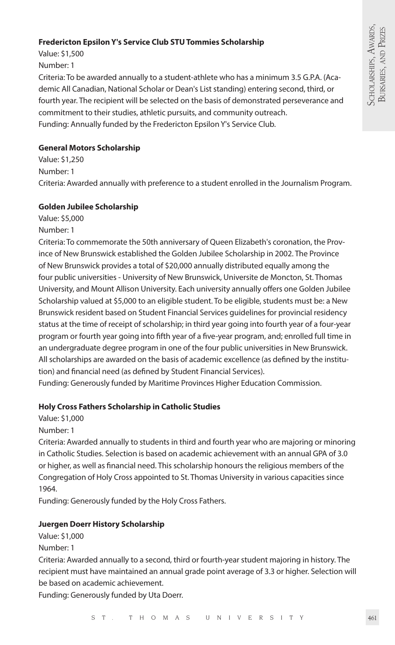#### **Fredericton Epsilon Y's Service Club STU Tommies Scholarship**

Value: \$1,500 Number: 1

Criteria: To be awarded annually to a student-athlete who has a minimum 3.5 G.P.A. (Academic All Canadian, National Scholar or Dean's List standing) entering second, third, or fourth year. The recipient will be selected on the basis of demonstrated perseverance and commitment to their studies, athletic pursuits, and community outreach. Funding: Annually funded by the Fredericton Epsilon Y's Service Club.

#### **General Motors Scholarship**

Value: \$1,250 Number: 1 Criteria: Awarded annually with preference to a student enrolled in the Journalism Program.

#### **Golden Jubilee Scholarship**

Value: \$5,000 Number: 1

Criteria: To commemorate the 50th anniversary of Queen Elizabeth's coronation, the Province of New Brunswick established the Golden Jubilee Scholarship in 2002. The Province of New Brunswick provides a total of \$20,000 annually distributed equally among the four public universities - University of New Brunswick, Universite de Moncton, St. Thomas University, and Mount Allison University. Each university annually offers one Golden Jubilee Scholarship valued at \$5,000 to an eligible student. To be eligible, students must be: a New Brunswick resident based on Student Financial Services guidelines for provincial residency status at the time of receipt of scholarship; in third year going into fourth year of a four-year program or fourth year going into fifth year of a five-year program, and; enrolled full time in an undergraduate degree program in one of the four public universities in New Brunswick. All scholarships are awarded on the basis of academic excellence (as defined by the institution) and financial need (as defined by Student Financial Services).

Funding: Generously funded by Maritime Provinces Higher Education Commission.

#### **Holy Cross Fathers Scholarship in Catholic Studies**

Value: \$1,000

Number: 1

Criteria: Awarded annually to students in third and fourth year who are majoring or minoring in Catholic Studies. Selection is based on academic achievement with an annual GPA of 3.0 or higher, as well as financial need. This scholarship honours the religious members of the Congregation of Holy Cross appointed to St. Thomas University in various capacities since 1964.

Funding: Generously funded by the Holy Cross Fathers.

#### **Juergen Doerr History Scholarship**

Value: \$1,000

Number: 1

Criteria: Awarded annually to a second, third or fourth-year student majoring in history. The recipient must have maintained an annual grade point average of 3.3 or higher. Selection will be based on academic achievement.

Funding: Generously funded by Uta Doerr.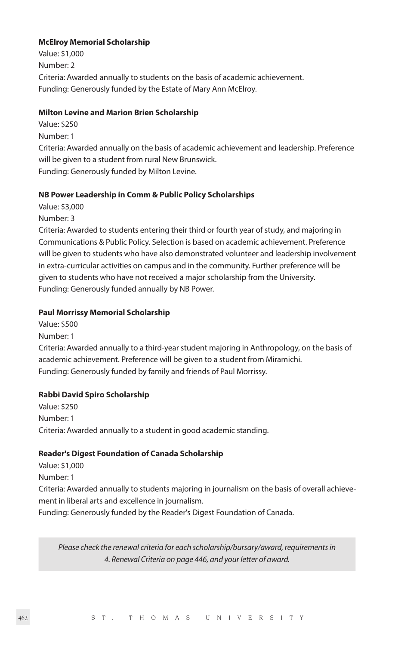#### **McElroy Memorial Scholarship**

Value: \$1,000 Number: 2 Criteria: Awarded annually to students on the basis of academic achievement. Funding: Generously funded by the Estate of Mary Ann McElroy.

#### **Milton Levine and Marion Brien Scholarship**

Value: \$250

Number: 1

Criteria: Awarded annually on the basis of academic achievement and leadership. Preference will be given to a student from rural New Brunswick. Funding: Generously funded by Milton Levine.

#### **NB Power Leadership in Comm & Public Policy Scholarships**

Value: \$3,000

Number: 3

Criteria: Awarded to students entering their third or fourth year of study, and majoring in Communications & Public Policy. Selection is based on academic achievement. Preference will be given to students who have also demonstrated volunteer and leadership involvement in extra-curricular activities on campus and in the community. Further preference will be given to students who have not received a major scholarship from the University. Funding: Generously funded annually by NB Power.

#### **Paul Morrissy Memorial Scholarship**

Value: \$500 Number: 1

Criteria: Awarded annually to a third-year student majoring in Anthropology, on the basis of academic achievement. Preference will be given to a student from Miramichi. Funding: Generously funded by family and friends of Paul Morrissy.

#### **Rabbi David Spiro Scholarship**

Value: \$250 Number: 1 Criteria: Awarded annually to a student in good academic standing.

#### **Reader's Digest Foundation of Canada Scholarship**

Value: \$1,000 Number: 1 Criteria: Awarded annually to students majoring in journalism on the basis of overall achievement in liberal arts and excellence in journalism. Funding: Generously funded by the Reader's Digest Foundation of Canada.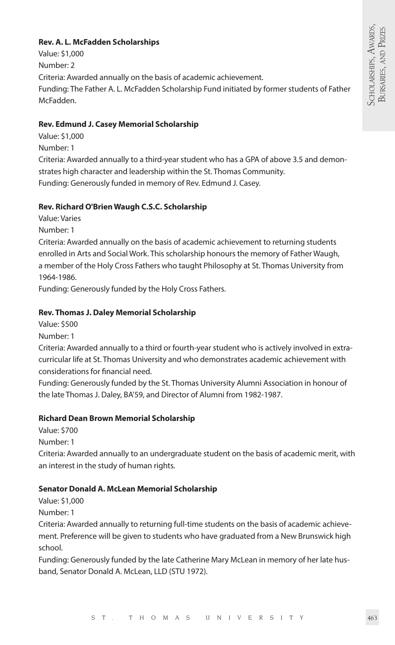#### **Rev. A. L. McFadden Scholarships**

Value: \$1,000 Number: 2 Criteria: Awarded annually on the basis of academic achievement. Funding: The Father A. L. McFadden Scholarship Fund initiated by former students of Father McFadden.

#### **Rev. Edmund J. Casey Memorial Scholarship**

Value: \$1,000

Number: 1

Criteria: Awarded annually to a third-year student who has a GPA of above 3.5 and demonstrates high character and leadership within the St. Thomas Community. Funding: Generously funded in memory of Rev. Edmund J. Casey.

#### **Rev. Richard O'Brien Waugh C.S.C. Scholarship**

Value: Varies

Number: 1

Criteria: Awarded annually on the basis of academic achievement to returning students enrolled in Arts and Social Work. This scholarship honours the memory of Father Waugh, a member of the Holy Cross Fathers who taught Philosophy at St. Thomas University from 1964-1986.

Funding: Generously funded by the Holy Cross Fathers.

#### **Rev. Thomas J. Daley Memorial Scholarship**

Value: \$500

Number: 1

Criteria: Awarded annually to a third or fourth-year student who is actively involved in extracurricular life at St. Thomas University and who demonstrates academic achievement with considerations for financial need.

Funding: Generously funded by the St. Thomas University Alumni Association in honour of the late Thomas J. Daley, BA'59, and Director of Alumni from 1982-1987.

#### **Richard Dean Brown Memorial Scholarship**

Value: \$700

Number: 1

Criteria: Awarded annually to an undergraduate student on the basis of academic merit, with an interest in the study of human rights.

#### **Senator Donald A. McLean Memorial Scholarship**

Value: \$1,000

Number: 1

Criteria: Awarded annually to returning full-time students on the basis of academic achievement. Preference will be given to students who have graduated from a New Brunswick high school.

Funding: Generously funded by the late Catherine Mary McLean in memory of her late husband, Senator Donald A. McLean, LLD (STU 1972).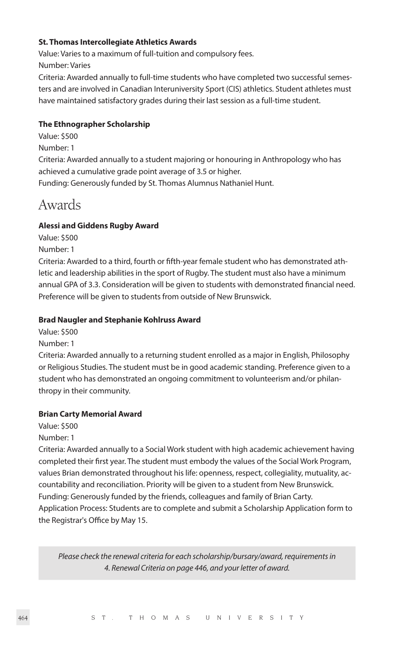#### **St. Thomas Intercollegiate Athletics Awards**

Value: Varies to a maximum of full-tuition and compulsory fees.

Number: Varies

Criteria: Awarded annually to full-time students who have completed two successful semesters and are involved in Canadian Interuniversity Sport (CIS) athletics. Student athletes must have maintained satisfactory grades during their last session as a full-time student.

#### **The Ethnographer Scholarship**

Value: \$500

Number: 1

Criteria: Awarded annually to a student majoring or honouring in Anthropology who has achieved a cumulative grade point average of 3.5 or higher.

Funding: Generously funded by St. Thomas Alumnus Nathaniel Hunt.

## Awards

#### **Alessi and Giddens Rugby Award**

Value: \$500

Number: 1

Criteria: Awarded to a third, fourth or fifth-year female student who has demonstrated athletic and leadership abilities in the sport of Rugby. The student must also have a minimum annual GPA of 3.3. Consideration will be given to students with demonstrated financial need. Preference will be given to students from outside of New Brunswick.

#### **Brad Naugler and Stephanie Kohlruss Award**

Value: \$500

Number: 1

Criteria: Awarded annually to a returning student enrolled as a major in English, Philosophy or Religious Studies. The student must be in good academic standing. Preference given to a student who has demonstrated an ongoing commitment to volunteerism and/or philanthropy in their community.

#### **Brian Carty Memorial Award**

Value: \$500

Number: 1

Criteria: Awarded annually to a Social Work student with high academic achievement having completed their first year. The student must embody the values of the Social Work Program, values Brian demonstrated throughout his life: openness, respect, collegiality, mutuality, accountability and reconciliation. Priority will be given to a student from New Brunswick. Funding: Generously funded by the friends, colleagues and family of Brian Carty. Application Process: Students are to complete and submit a Scholarship Application form to the Registrar's Office by May 15.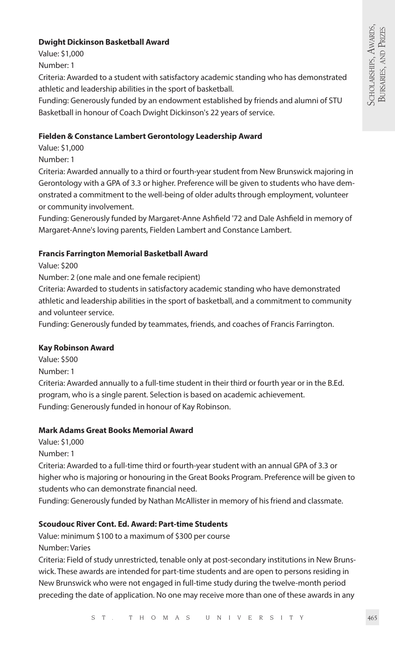#### **Dwight Dickinson Basketball Award**

Value: \$1,000 Number: 1

Criteria: Awarded to a student with satisfactory academic standing who has demonstrated athletic and leadership abilities in the sport of basketball.

Funding: Generously funded by an endowment established by friends and alumni of STU Basketball in honour of Coach Dwight Dickinson's 22 years of service.

#### **Fielden & Constance Lambert Gerontology Leadership Award**

Value: \$1,000

Number: 1

Criteria: Awarded annually to a third or fourth-year student from New Brunswick majoring in Gerontology with a GPA of 3.3 or higher. Preference will be given to students who have demonstrated a commitment to the well-being of older adults through employment, volunteer or community involvement.

Funding: Generously funded by Margaret-Anne Ashfield '72 and Dale Ashfield in memory of Margaret-Anne's loving parents, Fielden Lambert and Constance Lambert.

#### **Francis Farrington Memorial Basketball Award**

Value: \$200

Number: 2 (one male and one female recipient)

Criteria: Awarded to students in satisfactory academic standing who have demonstrated athletic and leadership abilities in the sport of basketball, and a commitment to community and volunteer service.

Funding: Generously funded by teammates, friends, and coaches of Francis Farrington.

#### **Kay Robinson Award**

Value: \$500

Number: 1

Criteria: Awarded annually to a full-time student in their third or fourth year or in the B.Ed. program, who is a single parent. Selection is based on academic achievement. Funding: Generously funded in honour of Kay Robinson.

#### **Mark Adams Great Books Memorial Award**

Value: \$1,000

Number: 1

Criteria: Awarded to a full-time third or fourth-year student with an annual GPA of 3.3 or higher who is majoring or honouring in the Great Books Program. Preference will be given to students who can demonstrate financial need.

Funding: Generously funded by Nathan McAllister in memory of his friend and classmate.

#### **Scoudouc River Cont. Ed. Award: Part-time Students**

Value: minimum \$100 to a maximum of \$300 per course Number: Varies

Criteria: Field of study unrestricted, tenable only at post-secondary institutions in New Brunswick. These awards are intended for part-time students and are open to persons residing in New Brunswick who were not engaged in full-time study during the twelve-month period preceding the date of application. No one may receive more than one of these awards in any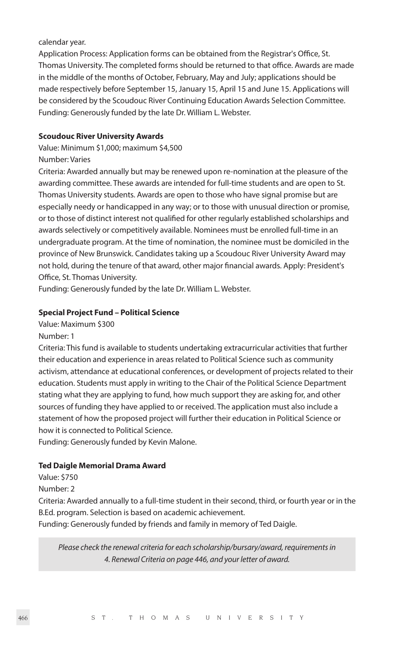#### calendar year.

Application Process: Application forms can be obtained from the Registrar's Office, St. Thomas University. The completed forms should be returned to that office. Awards are made in the middle of the months of October, February, May and July; applications should be made respectively before September 15, January 15, April 15 and June 15. Applications will be considered by the Scoudouc River Continuing Education Awards Selection Committee. Funding: Generously funded by the late Dr. William L. Webster.

#### **Scoudouc River University Awards**

Value: Minimum \$1,000; maximum \$4,500 Number: Varies

Criteria: Awarded annually but may be renewed upon re-nomination at the pleasure of the awarding committee. These awards are intended for full-time students and are open to St. Thomas University students. Awards are open to those who have signal promise but are especially needy or handicapped in any way; or to those with unusual direction or promise, or to those of distinct interest not qualified for other regularly established scholarships and awards selectively or competitively available. Nominees must be enrolled full-time in an undergraduate program. At the time of nomination, the nominee must be domiciled in the province of New Brunswick. Candidates taking up a Scoudouc River University Award may not hold, during the tenure of that award, other major financial awards. Apply: President's Office, St. Thomas University.

Funding: Generously funded by the late Dr. William L. Webster.

#### **Special Project Fund – Political Science**

Value: Maximum \$300

Number: 1

Criteria: This fund is available to students undertaking extracurricular activities that further their education and experience in areas related to Political Science such as community activism, attendance at educational conferences, or development of projects related to their education. Students must apply in writing to the Chair of the Political Science Department stating what they are applying to fund, how much support they are asking for, and other sources of funding they have applied to or received. The application must also include a statement of how the proposed project will further their education in Political Science or how it is connected to Political Science.

Funding: Generously funded by Kevin Malone.

#### **Ted Daigle Memorial Drama Award**

Value: \$750

Number: 2

Criteria: Awarded annually to a full-time student in their second, third, or fourth year or in the B.Ed. program. Selection is based on academic achievement.

Funding: Generously funded by friends and family in memory of Ted Daigle.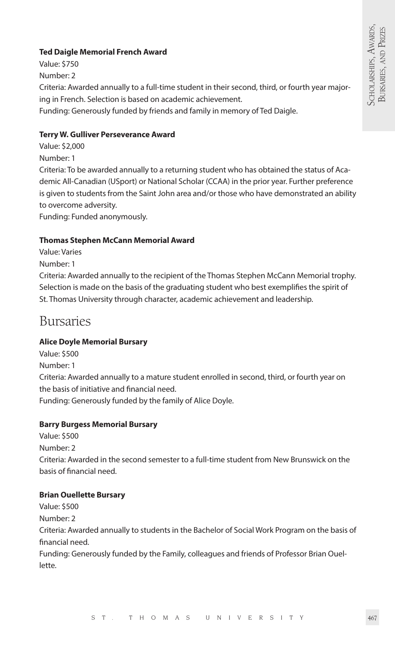#### **Ted Daigle Memorial French Award**

Value: \$750 Number: 2 Criteria: Awarded annually to a full-time student in their second, third, or fourth year majoring in French. Selection is based on academic achievement. Funding: Generously funded by friends and family in memory of Ted Daigle.

#### **Terry W. Gulliver Perseverance Award**

Value: \$2,000 Number: 1 Criteria: To be awarded annually to a returning student who has obtained the status of Academic All-Canadian (USport) or National Scholar (CCAA) in the prior year. Further preference is given to students from the Saint John area and/or those who have demonstrated an ability

to overcome adversity.

Funding: Funded anonymously.

#### **Thomas Stephen McCann Memorial Award**

Value: Varies

Number: 1

Criteria: Awarded annually to the recipient of the Thomas Stephen McCann Memorial trophy. Selection is made on the basis of the graduating student who best exemplifies the spirit of St. Thomas University through character, academic achievement and leadership.

### Bursaries

#### **Alice Doyle Memorial Bursary**

Value: \$500 Number: 1

Criteria: Awarded annually to a mature student enrolled in second, third, or fourth year on the basis of initiative and financial need.

Funding: Generously funded by the family of Alice Doyle.

#### **Barry Burgess Memorial Bursary**

Value: \$500

Number: 2 Criteria: Awarded in the second semester to a full-time student from New Brunswick on the basis of financial need.

#### **Brian Ouellette Bursary**

Value: \$500

Number: 2

Criteria: Awarded annually to students in the Bachelor of Social Work Program on the basis of financial need.

Funding: Generously funded by the Family, colleagues and friends of Professor Brian Ouellette.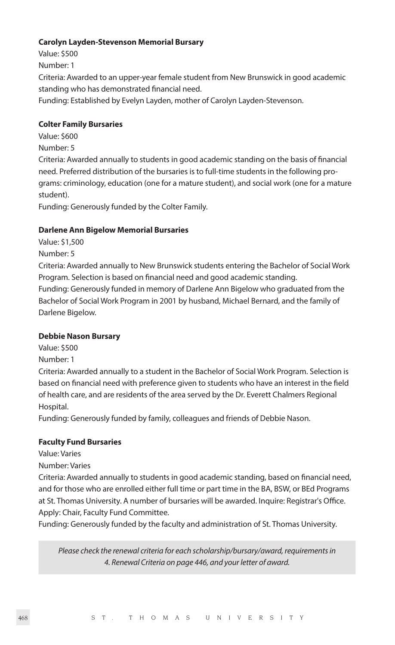#### **Carolyn Layden-Stevenson Memorial Bursary**

Value: \$500

Number: 1

Criteria: Awarded to an upper-year female student from New Brunswick in good academic standing who has demonstrated financial need.

Funding: Established by Evelyn Layden, mother of Carolyn Layden-Stevenson.

#### **Colter Family Bursaries**

Value: \$600

Number: 5

Criteria: Awarded annually to students in good academic standing on the basis of financial need. Preferred distribution of the bursaries is to full-time students in the following programs: criminology, education (one for a mature student), and social work (one for a mature student).

Funding: Generously funded by the Colter Family.

#### **Darlene Ann Bigelow Memorial Bursaries**

Value: \$1,500

Number: 5

Criteria: Awarded annually to New Brunswick students entering the Bachelor of Social Work Program. Selection is based on financial need and good academic standing.

Funding: Generously funded in memory of Darlene Ann Bigelow who graduated from the Bachelor of Social Work Program in 2001 by husband, Michael Bernard, and the family of Darlene Bigelow.

#### **Debbie Nason Bursary**

Value: \$500

Number: 1

Criteria: Awarded annually to a student in the Bachelor of Social Work Program. Selection is based on financial need with preference given to students who have an interest in the field of health care, and are residents of the area served by the Dr. Everett Chalmers Regional Hospital.

Funding: Generously funded by family, colleagues and friends of Debbie Nason.

#### **Faculty Fund Bursaries**

Value: Varies

Number: Varies

Criteria: Awarded annually to students in good academic standing, based on financial need, and for those who are enrolled either full time or part time in the BA, BSW, or BEd Programs at St. Thomas University. A number of bursaries will be awarded. Inquire: Registrar's Office. Apply: Chair, Faculty Fund Committee.

Funding: Generously funded by the faculty and administration of St. Thomas University.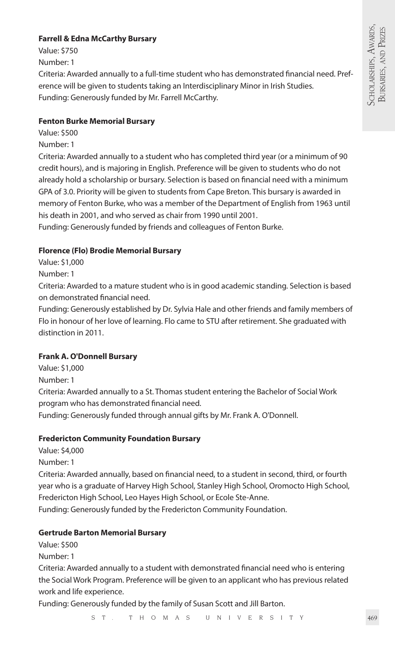#### **Farrell & Edna McCarthy Bursary**

Value: \$750

Number: 1

Criteria: Awarded annually to a full-time student who has demonstrated financial need. Preference will be given to students taking an Interdisciplinary Minor in Irish Studies. Funding: Generously funded by Mr. Farrell McCarthy.

#### **Fenton Burke Memorial Bursary**

Value: \$500

Number: 1

Criteria: Awarded annually to a student who has completed third year (or a minimum of 90 credit hours), and is majoring in English. Preference will be given to students who do not already hold a scholarship or bursary. Selection is based on financial need with a minimum GPA of 3.0. Priority will be given to students from Cape Breton. This bursary is awarded in memory of Fenton Burke, who was a member of the Department of English from 1963 until his death in 2001, and who served as chair from 1990 until 2001.

Funding: Generously funded by friends and colleagues of Fenton Burke.

#### **Florence (Flo) Brodie Memorial Bursary**

Value: \$1,000

Number: 1

Criteria: Awarded to a mature student who is in good academic standing. Selection is based on demonstrated financial need.

Funding: Generously established by Dr. Sylvia Hale and other friends and family members of Flo in honour of her love of learning. Flo came to STU after retirement. She graduated with distinction in 2011.

#### **Frank A. O'Donnell Bursary**

Value: \$1,000

Number: 1

Criteria: Awarded annually to a St. Thomas student entering the Bachelor of Social Work program who has demonstrated financial need.

Funding: Generously funded through annual gifts by Mr. Frank A. O'Donnell.

#### **Fredericton Community Foundation Bursary**

Value: \$4,000

Number: 1

Criteria: Awarded annually, based on financial need, to a student in second, third, or fourth year who is a graduate of Harvey High School, Stanley High School, Oromocto High School, Fredericton High School, Leo Hayes High School, or Ecole Ste-Anne.

Funding: Generously funded by the Fredericton Community Foundation.

#### **Gertrude Barton Memorial Bursary**

Value: \$500

Number: 1

Criteria: Awarded annually to a student with demonstrated financial need who is entering the Social Work Program. Preference will be given to an applicant who has previous related work and life experience.

Funding: Generously funded by the family of Susan Scott and Jill Barton.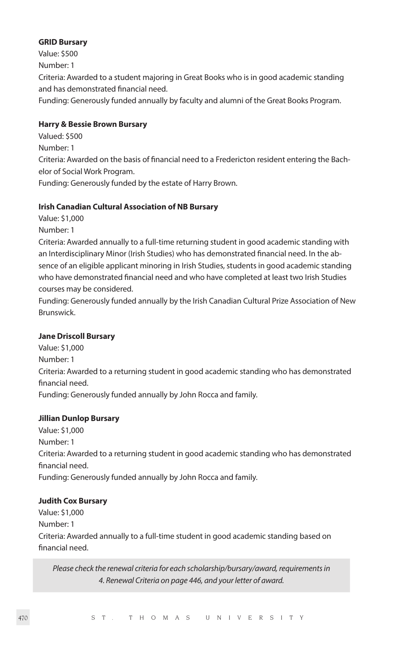#### **GRID Bursary**

Value: \$500 Number: 1 Criteria: Awarded to a student majoring in Great Books who is in good academic standing and has demonstrated financial need. Funding: Generously funded annually by faculty and alumni of the Great Books Program.

#### **Harry & Bessie Brown Bursary**

Valued: \$500

Number: 1

Criteria: Awarded on the basis of financial need to a Fredericton resident entering the Bachelor of Social Work Program.

Funding: Generously funded by the estate of Harry Brown.

#### **Irish Canadian Cultural Association of NB Bursary**

Value: \$1,000

Number: 1

Criteria: Awarded annually to a full-time returning student in good academic standing with an Interdisciplinary Minor (Irish Studies) who has demonstrated financial need. In the absence of an eligible applicant minoring in Irish Studies, students in good academic standing who have demonstrated financial need and who have completed at least two Irish Studies courses may be considered.

Funding: Generously funded annually by the Irish Canadian Cultural Prize Association of New Brunswick.

#### **Jane Driscoll Bursary**

Value: \$1,000 Number: 1 Criteria: Awarded to a returning student in good academic standing who has demonstrated financial need. Funding: Generously funded annually by John Rocca and family.

#### **Jillian Dunlop Bursary**

Value: \$1,000 Number: 1 Criteria: Awarded to a returning student in good academic standing who has demonstrated financial need. Funding: Generously funded annually by John Rocca and family.

#### **Judith Cox Bursary**

Value: \$1,000 Number: 1 Criteria: Awarded annually to a full-time student in good academic standing based on financial need.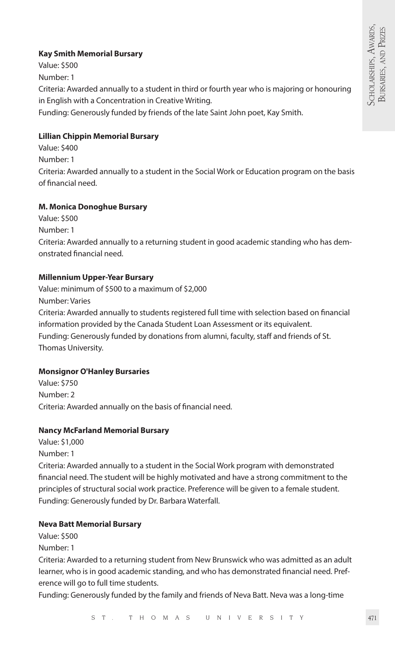#### **Kay Smith Memorial Bursary**

Value: \$500 Number: 1 Criteria: Awarded annually to a student in third or fourth year who is majoring or honouring in English with a Concentration in Creative Writing. Funding: Generously funded by friends of the late Saint John poet, Kay Smith.

#### **Lillian Chippin Memorial Bursary**

Value: \$400 Number: 1 Criteria: Awarded annually to a student in the Social Work or Education program on the basis of financial need.

#### **M. Monica Donoghue Bursary**

Value: \$500 Number: 1 Criteria: Awarded annually to a returning student in good academic standing who has demonstrated financial need.

#### **Millennium Upper-Year Bursary**

Value: minimum of \$500 to a maximum of \$2,000 Number: Varies Criteria: Awarded annually to students registered full time with selection based on financial information provided by the Canada Student Loan Assessment or its equivalent. Funding: Generously funded by donations from alumni, faculty, staff and friends of St. Thomas University.

#### **Monsignor O'Hanley Bursaries**

Value: \$750 Number: 2 Criteria: Awarded annually on the basis of financial need.

#### **Nancy McFarland Memorial Bursary**

Value: \$1,000 Number: 1

Criteria: Awarded annually to a student in the Social Work program with demonstrated financial need. The student will be highly motivated and have a strong commitment to the principles of structural social work practice. Preference will be given to a female student. Funding: Generously funded by Dr. Barbara Waterfall.

#### **Neva Batt Memorial Bursary**

Value: \$500

Number: 1

Criteria: Awarded to a returning student from New Brunswick who was admitted as an adult learner, who is in good academic standing, and who has demonstrated financial need. Preference will go to full time students.

Funding: Generously funded by the family and friends of Neva Batt. Neva was a long-time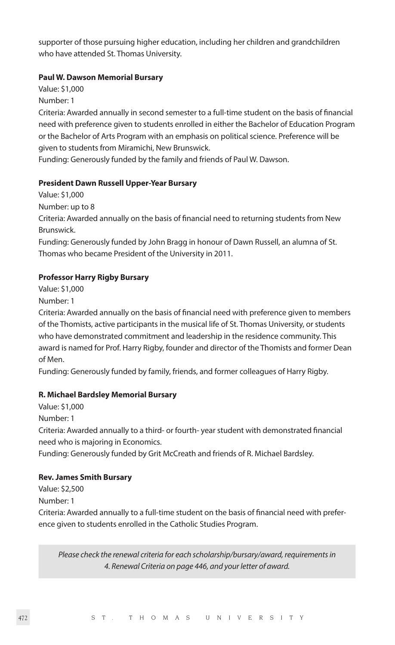supporter of those pursuing higher education, including her children and grandchildren who have attended St. Thomas University.

#### **Paul W. Dawson Memorial Bursary**

Value: \$1,000

Number: 1

Criteria: Awarded annually in second semester to a full-time student on the basis of financial need with preference given to students enrolled in either the Bachelor of Education Program or the Bachelor of Arts Program with an emphasis on political science. Preference will be given to students from Miramichi, New Brunswick.

Funding: Generously funded by the family and friends of Paul W. Dawson.

#### **President Dawn Russell Upper-Year Bursary**

Value: \$1,000

Number: up to 8

Criteria: Awarded annually on the basis of financial need to returning students from New Brunswick.

Funding: Generously funded by John Bragg in honour of Dawn Russell, an alumna of St. Thomas who became President of the University in 2011.

#### **Professor Harry Rigby Bursary**

Value: \$1,000

Number: 1

Criteria: Awarded annually on the basis of financial need with preference given to members of the Thomists, active participants in the musical life of St. Thomas University, or students who have demonstrated commitment and leadership in the residence community. This award is named for Prof. Harry Rigby, founder and director of the Thomists and former Dean of Men.

Funding: Generously funded by family, friends, and former colleagues of Harry Rigby.

#### **R. Michael Bardsley Memorial Bursary**

Value: \$1,000

Number: 1

Criteria: Awarded annually to a third- or fourth- year student with demonstrated financial need who is majoring in Economics.

Funding: Generously funded by Grit McCreath and friends of R. Michael Bardsley.

#### **Rev. James Smith Bursary**

Value: \$2,500

Number: 1

Criteria: Awarded annually to a full-time student on the basis of financial need with preference given to students enrolled in the Catholic Studies Program.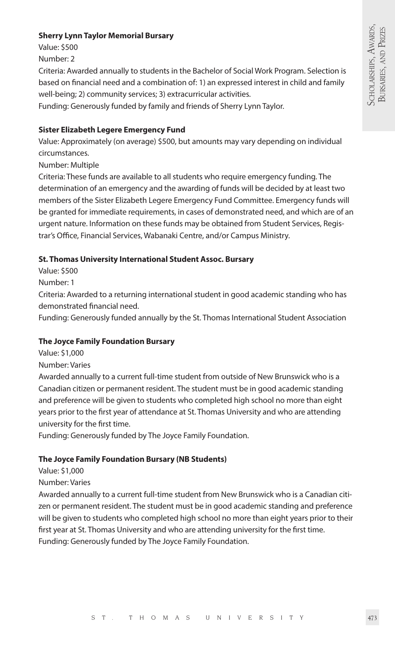#### **Sherry Lynn Taylor Memorial Bursary**

Value: \$500

Number: 2

Criteria: Awarded annually to students in the Bachelor of Social Work Program. Selection is based on financial need and a combination of: 1) an expressed interest in child and family well-being; 2) community services; 3) extracurricular activities.

Funding: Generously funded by family and friends of Sherry Lynn Taylor.

#### **Sister Elizabeth Legere Emergency Fund**

Value: Approximately (on average) \$500, but amounts may vary depending on individual circumstances.

Number: Multiple

Criteria: These funds are available to all students who require emergency funding. The determination of an emergency and the awarding of funds will be decided by at least two members of the Sister Elizabeth Legere Emergency Fund Committee. Emergency funds will be granted for immediate requirements, in cases of demonstrated need, and which are of an urgent nature. Information on these funds may be obtained from Student Services, Registrar's Office, Financial Services, Wabanaki Centre, and/or Campus Ministry.

#### **St. Thomas University International Student Assoc. Bursary**

Value: \$500

Number: 1

Criteria: Awarded to a returning international student in good academic standing who has demonstrated financial need.

Funding: Generously funded annually by the St. Thomas International Student Association

#### **The Joyce Family Foundation Bursary**

Value: \$1,000

Number: Varies

Awarded annually to a current full-time student from outside of New Brunswick who is a Canadian citizen or permanent resident. The student must be in good academic standing and preference will be given to students who completed high school no more than eight years prior to the first year of attendance at St. Thomas University and who are attending university for the first time.

Funding: Generously funded by The Joyce Family Foundation.

#### **The Joyce Family Foundation Bursary (NB Students)**

Value: \$1,000

#### Number: Varies

Awarded annually to a current full-time student from New Brunswick who is a Canadian citizen or permanent resident. The student must be in good academic standing and preference will be given to students who completed high school no more than eight years prior to their first year at St. Thomas University and who are attending university for the first time. Funding: Generously funded by The Joyce Family Foundation.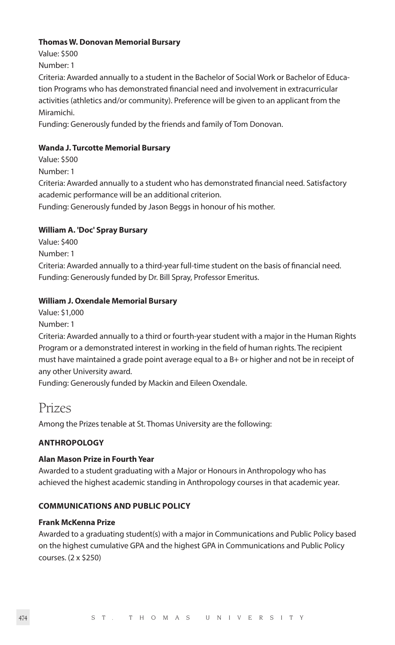#### **Thomas W. Donovan Memorial Bursary**

Value: \$500 Number: 1

Criteria: Awarded annually to a student in the Bachelor of Social Work or Bachelor of Education Programs who has demonstrated financial need and involvement in extracurricular activities (athletics and/or community). Preference will be given to an applicant from the Miramichi.

Funding: Generously funded by the friends and family of Tom Donovan.

#### **Wanda J. Turcotte Memorial Bursary**

Value: \$500

Number: 1

Criteria: Awarded annually to a student who has demonstrated financial need. Satisfactory academic performance will be an additional criterion.

Funding: Generously funded by Jason Beggs in honour of his mother.

#### **William A. 'Doc' Spray Bursary**

Value: \$400

Number: 1

Criteria: Awarded annually to a third-year full-time student on the basis of financial need. Funding: Generously funded by Dr. Bill Spray, Professor Emeritus.

#### **William J. Oxendale Memorial Bursary**

- Value: \$1,000
- Number: 1

Criteria: Awarded annually to a third or fourth-year student with a major in the Human Rights Program or a demonstrated interest in working in the field of human rights. The recipient must have maintained a grade point average equal to a B+ or higher and not be in receipt of any other University award.

Funding: Generously funded by Mackin and Eileen Oxendale.

### Prizes

Among the Prizes tenable at St. Thomas University are the following:

#### **ANTHROPOLOGY**

#### **Alan Mason Prize in Fourth Year**

Awarded to a student graduating with a Major or Honours in Anthropology who has achieved the highest academic standing in Anthropology courses in that academic year.

#### **COMMUNICATIONS AND PUBLIC POLICY**

#### **Frank McKenna Prize**

Awarded to a graduating student(s) with a major in Communications and Public Policy based on the highest cumulative GPA and the highest GPA in Communications and Public Policy courses. (2 x \$250)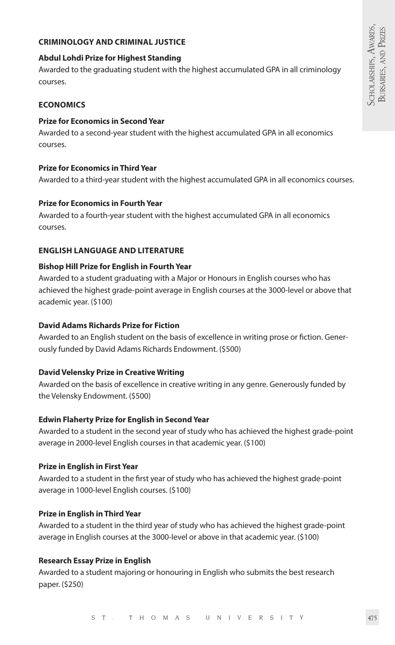#### **CRIMINOLOGY AND CRIMINAL JUSTICE**

#### **Abdul Lohdi Prize for Highest Standing**

Awarded to the graduating student with the highest accumulated GPA in all criminology courses.

#### **ECONOMICS**

#### **Prize for Economics in Second Year**

Awarded to a second-year student with the highest accumulated GPA in all economics courses.

#### **Prize for Economics in Third Year**

Awarded to a third-year student with the highest accumulated GPA in all economics courses.

#### **Prize for Economics in Fourth Year**

Awarded to a fourth-year student with the highest accumulated GPA in all economics courses.

#### **ENGLISH LANGUAGE AND LITERATURE**

#### **Bishop Hill Prize for English in Fourth Year**

Awarded to a student graduating with a Major or Honours in English courses who has achieved the highest grade-point average in English courses at the 3000-level or above that academic year. (\$100)

#### **David Adams Richards Prize for Fiction**

Awarded to an English student on the basis of excellence in writing prose or fiction. Generously funded by David Adams Richards Endowment. (\$500)

#### **David Velensky Prize in Creative Writing**

Awarded on the basis of excellence in creative writing in any genre. Generously funded by the Velensky Endowment. (\$500)

#### **Edwin Flaherty Prize for English in Second Year**

Awarded to a student in the second year of study who has achieved the highest grade-point average in 2000-level English courses in that academic year. (\$100)

#### **Prize in English in First Year**

Awarded to a student in the first year of study who has achieved the highest grade-point average in 1000-level English courses. (\$100)

#### **Prize in English in Third Year**

Awarded to a student in the third year of study who has achieved the highest grade-point average in English courses at the 3000-level or above in that academic year. (\$100)

#### **Research Essay Prize in English**

Awarded to a student majoring or honouring in English who submits the best research paper. (\$250)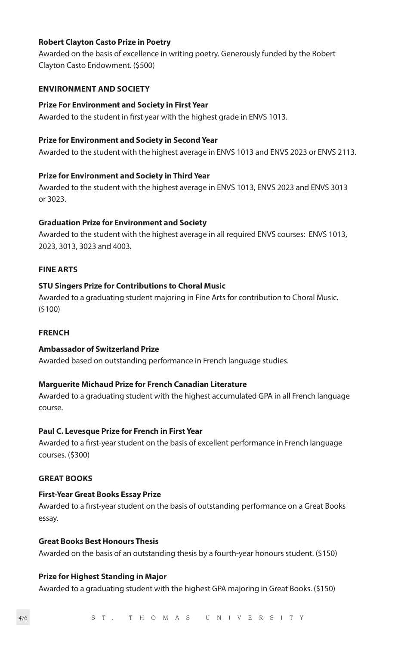#### **Robert Clayton Casto Prize in Poetry**

Awarded on the basis of excellence in writing poetry. Generously funded by the Robert Clayton Casto Endowment. (\$500)

#### **ENVIRONMENT AND SOCIETY**

#### **Prize For Environment and Society in First Year**

Awarded to the student in first year with the highest grade in ENVS 1013.

#### **Prize for Environment and Society in Second Year**

Awarded to the student with the highest average in ENVS 1013 and ENVS 2023 or ENVS 2113.

#### **Prize for Environment and Society in Third Year**

Awarded to the student with the highest average in ENVS 1013, ENVS 2023 and ENVS 3013 or 3023.

#### **Graduation Prize for Environment and Society**

Awarded to the student with the highest average in all required ENVS courses: ENVS 1013, 2023, 3013, 3023 and 4003.

#### **FINE ARTS**

#### **STU Singers Prize for Contributions to Choral Music**

Awarded to a graduating student majoring in Fine Arts for contribution to Choral Music. (\$100)

#### **FRENCH**

#### **Ambassador of Switzerland Prize**

Awarded based on outstanding performance in French language studies.

#### **Marguerite Michaud Prize for French Canadian Literature**

Awarded to a graduating student with the highest accumulated GPA in all French language course.

#### **Paul C. Levesque Prize for French in First Year**

Awarded to a first-year student on the basis of excellent performance in French language courses. (\$300)

#### **GREAT BOOKS**

#### **First-Year Great Books Essay Prize**

Awarded to a first-year student on the basis of outstanding performance on a Great Books essay.

#### **Great Books Best Honours Thesis**

Awarded on the basis of an outstanding thesis by a fourth-year honours student. (\$150)

#### **Prize for Highest Standing in Major**

Awarded to a graduating student with the highest GPA majoring in Great Books. (\$150)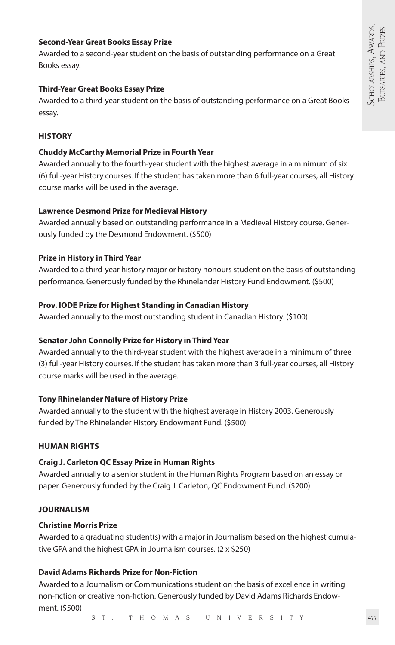#### **Second-Year Great Books Essay Prize**

Awarded to a second-year student on the basis of outstanding performance on a Great Books essay.

#### **Third-Year Great Books Essay Prize**

Awarded to a third-year student on the basis of outstanding performance on a Great Books essay.

#### **HISTORY**

#### **Chuddy McCarthy Memorial Prize in Fourth Year**

Awarded annually to the fourth-year student with the highest average in a minimum of six (6) full-year History courses. If the student has taken more than 6 full-year courses, all History course marks will be used in the average.

#### **Lawrence Desmond Prize for Medieval History**

Awarded annually based on outstanding performance in a Medieval History course. Generously funded by the Desmond Endowment. (\$500)

#### **Prize in History in Third Year**

Awarded to a third-year history major or history honours student on the basis of outstanding performance. Generously funded by the Rhinelander History Fund Endowment. (\$500)

#### **Prov. IODE Prize for Highest Standing in Canadian History**

Awarded annually to the most outstanding student in Canadian History. (\$100)

#### **Senator John Connolly Prize for History in Third Year**

Awarded annually to the third-year student with the highest average in a minimum of three (3) full-year History courses. If the student has taken more than 3 full-year courses, all History course marks will be used in the average.

#### **Tony Rhinelander Nature of History Prize**

Awarded annually to the student with the highest average in History 2003. Generously funded by The Rhinelander History Endowment Fund. (\$500)

#### **HUMAN RIGHTS**

#### **Craig J. Carleton QC Essay Prize in Human Rights**

Awarded annually to a senior student in the Human Rights Program based on an essay or paper. Generously funded by the Craig J. Carleton, QC Endowment Fund. (\$200)

#### **JOURNALISM**

#### **Christine Morris Prize**

Awarded to a graduating student(s) with a major in Journalism based on the highest cumulative GPA and the highest GPA in Journalism courses. (2 x \$250)

#### **David Adams Richards Prize for Non-Fiction**

Awarded to a Journalism or Communications student on the basis of excellence in writing non-fiction or creative non-fiction. Generously funded by David Adams Richards Endowment. (\$500)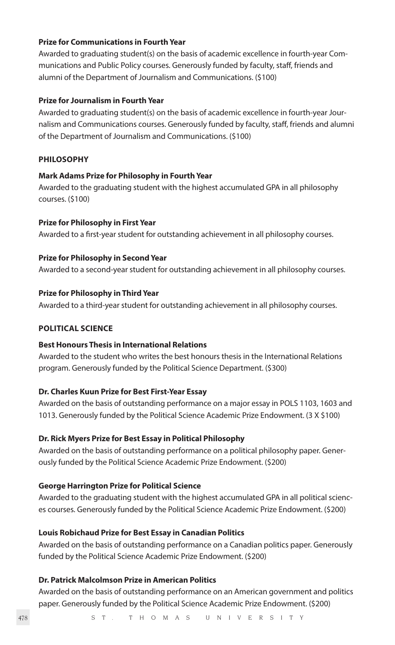#### **Prize for Communications in Fourth Year**

Awarded to graduating student(s) on the basis of academic excellence in fourth-year Communications and Public Policy courses. Generously funded by faculty, staff, friends and alumni of the Department of Journalism and Communications. (\$100)

#### **Prize for Journalism in Fourth Year**

Awarded to graduating student(s) on the basis of academic excellence in fourth-year Journalism and Communications courses. Generously funded by faculty, staff, friends and alumni of the Department of Journalism and Communications. (\$100)

#### **PHILOSOPHY**

#### **Mark Adams Prize for Philosophy in Fourth Year**

Awarded to the graduating student with the highest accumulated GPA in all philosophy courses. (\$100)

#### **Prize for Philosophy in First Year**

Awarded to a first-year student for outstanding achievement in all philosophy courses.

#### **Prize for Philosophy in Second Year**

Awarded to a second-year student for outstanding achievement in all philosophy courses.

#### **Prize for Philosophy in Third Year**

Awarded to a third-year student for outstanding achievement in all philosophy courses.

#### **POLITICAL SCIENCE**

#### **Best Honours Thesis in International Relations**

Awarded to the student who writes the best honours thesis in the International Relations program. Generously funded by the Political Science Department. (\$300)

#### **Dr. Charles Kuun Prize for Best First-Year Essay**

Awarded on the basis of outstanding performance on a major essay in POLS 1103, 1603 and 1013. Generously funded by the Political Science Academic Prize Endowment. (3 X \$100)

#### **Dr. Rick Myers Prize for Best Essay in Political Philosophy**

Awarded on the basis of outstanding performance on a political philosophy paper. Generously funded by the Political Science Academic Prize Endowment. (\$200)

#### **George Harrington Prize for Political Science**

Awarded to the graduating student with the highest accumulated GPA in all political sciences courses. Generously funded by the Political Science Academic Prize Endowment. (\$200)

#### **Louis Robichaud Prize for Best Essay in Canadian Politics**

Awarded on the basis of outstanding performance on a Canadian politics paper. Generously funded by the Political Science Academic Prize Endowment. (\$200)

#### **Dr. Patrick Malcolmson Prize in American Politics**

Awarded on the basis of outstanding performance on an American government and politics paper. Generously funded by the Political Science Academic Prize Endowment. (\$200)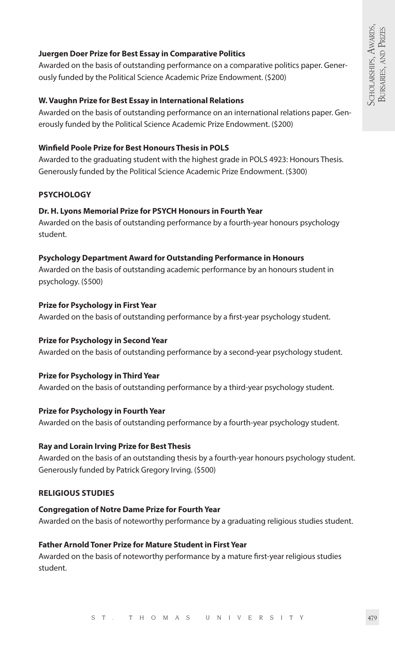#### **Juergen Doer Prize for Best Essay in Comparative Politics**

Awarded on the basis of outstanding performance on a comparative politics paper. Generously funded by the Political Science Academic Prize Endowment. (\$200)

#### **W. Vaughn Prize for Best Essay in International Relations**

Awarded on the basis of outstanding performance on an international relations paper. Generously funded by the Political Science Academic Prize Endowment. (\$200)

#### **Winfield Poole Prize for Best Honours Thesis in POLS**

Awarded to the graduating student with the highest grade in POLS 4923: Honours Thesis. Generously funded by the Political Science Academic Prize Endowment. (\$300)

#### **PSYCHOLOGY**

#### **Dr. H. Lyons Memorial Prize for PSYCH Honours in Fourth Year**

Awarded on the basis of outstanding performance by a fourth-year honours psychology student.

#### **Psychology Department Award for Outstanding Performance in Honours**

Awarded on the basis of outstanding academic performance by an honours student in psychology. (\$500)

#### **Prize for Psychology in First Year**

Awarded on the basis of outstanding performance by a first-year psychology student.

#### **Prize for Psychology in Second Year**

Awarded on the basis of outstanding performance by a second-year psychology student.

#### **Prize for Psychology in Third Year**

Awarded on the basis of outstanding performance by a third-year psychology student.

#### **Prize for Psychology in Fourth Year**

Awarded on the basis of outstanding performance by a fourth-year psychology student.

#### **Ray and Lorain Irving Prize for Best Thesis**

Awarded on the basis of an outstanding thesis by a fourth-year honours psychology student. Generously funded by Patrick Gregory Irving. (\$500)

#### **RELIGIOUS STUDIES**

#### **Congregation of Notre Dame Prize for Fourth Year**

Awarded on the basis of noteworthy performance by a graduating religious studies student.

#### **Father Arnold Toner Prize for Mature Student in First Year**

Awarded on the basis of noteworthy performance by a mature first-year religious studies student.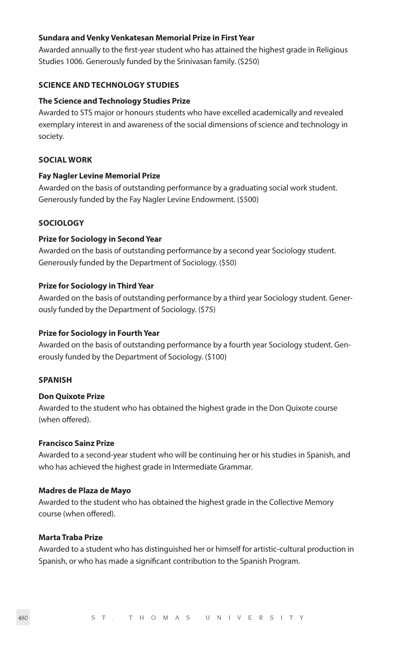#### **Sundara and Venky Venkatesan Memorial Prize in First Year**

Awarded annually to the first-year student who has attained the highest grade in Religious Studies 1006. Generously funded by the Srinivasan family. (\$250)

#### **SCIENCE AND TECHNOLOGY STUDIES**

#### **The Science and Technology Studies Prize**

Awarded to STS major or honours students who have excelled academically and revealed exemplary interest in and awareness of the social dimensions of science and technology in society.

#### **SOCIAL WORK**

#### **Fay Nagler Levine Memorial Prize**

Awarded on the basis of outstanding performance by a graduating social work student. Generously funded by the Fay Nagler Levine Endowment. (\$500)

#### **SOCIOLOGY**

#### **Prize for Sociology in Second Year**

Awarded on the basis of outstanding performance by a second year Sociology student. Generously funded by the Department of Sociology. (\$50)

#### **Prize for Sociology in Third Year**

Awarded on the basis of outstanding performance by a third year Sociology student. Generously funded by the Department of Sociology. (\$75)

#### **Prize for Sociology in Fourth Year**

Awarded on the basis of outstanding performance by a fourth year Sociology student. Generously funded by the Department of Sociology. (\$100)

#### **SPANISH**

#### **Don Quixote Prize**

Awarded to the student who has obtained the highest grade in the Don Quixote course (when offered).

#### **Francisco Sainz Prize**

Awarded to a second-year student who will be continuing her or his studies in Spanish, and who has achieved the highest grade in Intermediate Grammar.

#### **Madres de Plaza de Mayo**

Awarded to the student who has obtained the highest grade in the Collective Memory course (when offered).

#### **Marta Traba Prize**

Awarded to a student who has distinguished her or himself for artistic-cultural production in Spanish, or who has made a significant contribution to the Spanish Program.